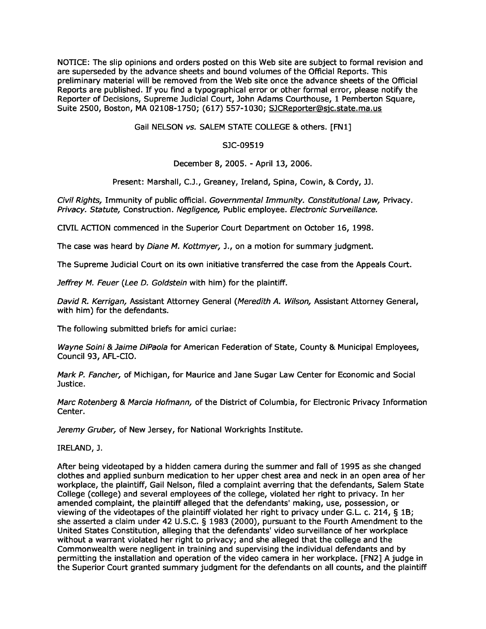NOTICE: The slip opinions and orders posted on this Web site are subject to formal revision and are superseded by the advance sheets and bound volumes of the Official Reports . This preliminary material will be removed from the Web site once the advance sheets of the Official Reports are published. If you find a typographical error or other formal error, please notify the Reporter of Decisions, Supreme Judicial Court, John Adams Courthouse, 1 Pemberton Square, Suite 2500, Boston, MA 02108-1750 ; (617) 557-1030; SJCReporter@sjc.state.ma .us

Gail NELSON vs. SALEM STATE COLLEGE & others . [FN1]

## **SJC**-**09519**

**De**c**ember 8**, **2005** . - **April 13**, **2006**.

Present: Marshall, C.J., Greaney, Ireland, Spina, Cowin, & Cordy, JJ.

Civil Rights, Immunity of public official. Governmental Immunity. Constitutional Law, Privacy. Privacy. Statute, Construction. Negligence, Public employee. Electronic Surveillance.

CIVIL ACTION commenced in the Superior Court Department on October 16, 1998 .

The case was heard by *Diane M. Kottmyer*, J., on a motion for summary judgment.

The Supreme Judicial Court on its own initiative transferred the case from the Appeals Court .

Jeffrey M. Feuer (Lee D. Goldstein with him) for the plaintiff.

David R. Kerrigan, Assistant Attorney General (Meredith A. Wilson, Assistant Attorney General, with him) for the defendants.

The following submitted briefs for amici curiae :

Wayne Soini & Jaime DiPaola for American Federation of State, County & Municipal Employees, Council 93, AFL-CIO.

Mark P. Fancher, of Michigan, for Maurice and Jane Sugar Law Center for Economic and Social Justice .

Marc Rotenberg & Marcia Hofmann, of the District of Columbia, for Electronic Privacy Information Center.

Jeremy Gruber, of New Jersey, for National Workrights Institute.

IRELAND, J.

After being videotaped by a hidden camera during the summer and fall of 1995 as she changed clothes and applied sunburn medication to her upper chest area and neck in an open area of her workplace, the plaintiff, Gail Nelson, filed a complaint averring that the defendants, Salem State College (college) and several employees of the college, violated her right to privacy . In her amended complaint, the plaintiff alleged that the defendants' making, use, possession, or viewing of the videotapes of the plaintiff violated her right to privacy under G.L. c. 214, § 1B; she asserted a claim under 42 U.S.C. § 1983 (2000), pursuant to the Fourth Amendment to the United States Constitution, alleging that the defendants' video surveillance of her workplace without a warrant violated her right to privacy; and she alleged that the college and the Commonwealth were negligent in training and supervising the individual defendants and by permitting the installation and operation of the video camera in her workplace . [FN2] A judge in the Superior Court granted summary judgment for the defendants on all counts, and the plaintiff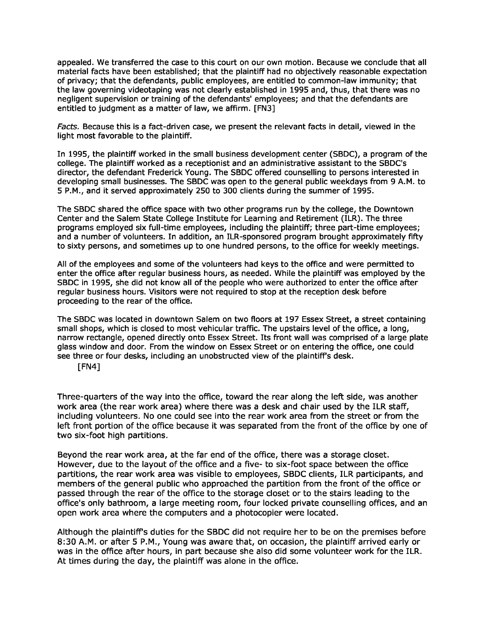appealed. We transferred the case to this court on our own motion. Because we conclude that all material facts have been established; that the plaintiff had no objectively reasonable expectation of privacy; that the defendants, public employees, are entitled to common-law immunity; that the law governing videotaping was not clearly established in 1995 and, thus, that there was no negligent supervision or training of the defendants' employees ; and that the defendants are entitled to judgment as a matter of law, we affirm. [FN3]

Facts. Because this is a fact-driven case, we present the relevant facts in detail, viewed in the light most favorable to the plaintiff.

In 1995, the plaintiff worked in the small business development center (SBDC), a program of the college . The plaintiff worked as a receptionist and an administrative assistant to the SBDC's director, the defendant Frederick Young. The SBDC offered counselling to persons interested in developing small businesses. The SBDC was open to the general public weekdays from 9 A.M. to 5 P .M ., and it served approximately 250 to 300 clients during the summer of 1995 .

The SBDC shared the office space with two other programs run by the college, the Downtown Center and the Salem State College Institute for Learning and Retirement (ILR) . The three programs employed six full-time employees, including the plaintiff; three part-time employees; and a number of volunteers. In addition, an ILR-sponsored program brought approximately fifty to sixty persons, and sometimes up to one hundred persons, to the office for weekly meetings .

All of the employees and some of the volunteers had keys to the office and were permitted to enter the office after regular business hours, as needed . While the plaintiff was employed by the SBDC in 1995, she did not know all of the people who were authorized to enter the office after regular business hours. Visitors were not required to stop at the reception desk before proceeding to the rear of the office.

The SBDC was located in downtown Salem on two floors at 197 Essex Street, a street containing small shops, which is closed to most vehicular traffic. The upstairs level of the office, a long, narrow rectangle, opened directly onto Essex Street . Its front wall was comprised of a large plate glass window and door. From the window on Essex Street or on entering the office, one could see three or four desks, including an unobstructed view of the plaintiff's desk .

[FN4]

Three-quarters of the way into the office, toward the rear along the left side, was another work area (the rear work area) where there was a desk and chair used by the ILR staff, including volunteers. No one could see into the rear work area from the street or from the left front portion of the office because it was separated from the front of the office by one of two six-foot high partitions.

Beyond the rear work area, at the far end of the office, there was a storage closet . However, due to the layout of the office and a five- to six-foot space between the office partitions, the rear work area was visible to employees, SBDC clients, ILR participants, and members of the general public who approached the partition from the front of the office or passed through the rear of the office to the storage closet or to the stairs leading to the office's only bathroom, a large meeting room, four locked private counselling offices, and an open work area where the computers and a photocopier were located .

Although the plaintiff's duties for the SBDC did not require her to be on the premises before 8:30 A.M. or after 5 P.M., Young was aware that, on occasion, the plaintiff arrived early or was in the office after hours, in part because she also did some volunteer work for the ILR . At times during the day, the plaintiff was alone in the office.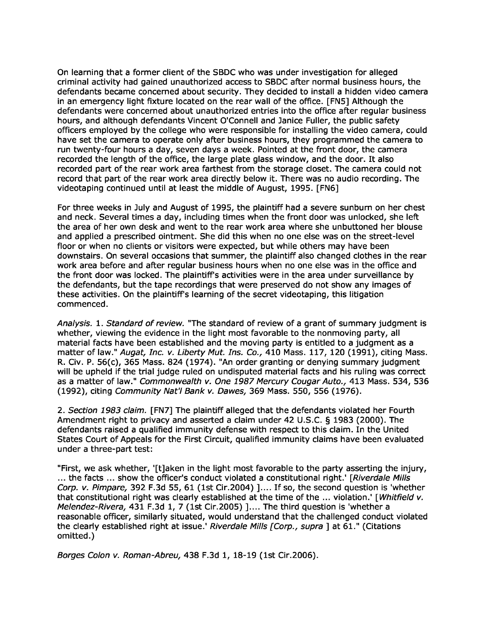On learning that a former client of the SBDC who was under investigation for alleged criminal activity had gained unauthorized access to SBDC after normal business hours, the defendants became concerned about security. They decided to install a hidden video camera in an emergency light fixture located on the rear wall of the office . [FN5] Although the defendants were concerned about unauthorized entries into the office after regular business hours, and although defendants Vincent O'Connell and Janice Fuller, the public safety officers employed by the college who were responsible for installing the video camera, could have set the camera to operate only after business hours, they programmed the camera to run twenty-four hours a day, seven days a week . Pointed at the front door, the camera recorded the length of the office, the large plate glass window, and the door. It also recorded part of the rear work area farthest from the storage closet . The camera could not record that part of the rear work area directly below it. There was no audio recording. The videotaping continued until at least the middle of August, 1995. [FN6]

For three weeks in July and August of 1995, the plaintiff had a severe sunburn on her chest and neck . Several times a day, including times when the front door was unlocked, she left the area of her own desk and went to the rear work area where she unbuttoned her blouse and applied a prescribed ointment. She did this when no one else was on the street-level floor or when no clients or visitors were expected, but while others may have been downstairs . On several occasions that summer, the plaintiff also changed clothes in the rear work area before and after regular business hours when no one else was in the office and the front door was locked. The plaintiff's activities were in the area under surveillance by the defendants, but the tape recordings that were preserved do not show any images of these activities. On the plaintiff's learning of the secret videotaping, this litigation commenced.

Analysis. 1. Standard of review. "The standard of review of a grant of summary judgment is whether, viewing the evidence in the light most favorable to the nonmoving party, all material facts have been established and the moving party is entitled to a judgment as a matter of law." Augat, Inc. v. Liberty Mut. Ins. Co., 410 Mass. 117, 120 (1991), citing Mass. R. Civ. P. 56(c), 365 Mass. 824 (1974). "An order granting or denying summary judgment will be upheld if the trial judge ruled on undisputed material facts and his ruling was correct as a matter of law." Commonwealth v. One 1987 Mercury Cougar Auto., 413 Mass. 534, 536 (1992), citing Community Nat'l Bank v. Dawes, 369 Mass. 550, 556 (1976) .

2. Section 1983 claim. [FN7] The plaintiff alleged that the defendants violated her Fourth Amendment right to privacy and asserted a claim under 42 U .S.C. § 1983 (2000) . The defendants raised a qualified immunity defense with respect to this claim . In the United States Court of Appeals for the First Circuit, qualified immunity claims have been evaluated under a three-part test:

"First, we ask whether, '[t]aken in the light most favorable to the party asserting the injury, ... the facts ... show the officer's conduct violated a constitutional right.' [Riverdale Mills Corp. v. Pimpare, 392 F.3d 55, 61 (1st Cir.2004) ].... If so, the second question is 'whether that constitutional right was clearly established at the time of the ... violation.' [Whitfield v. Melendez-Rivera, 431 F.3d 1, 7 (1st Cir.2005) ].... The third question is 'whether a reasonable officer, similarly situated, would understand that the challenged conduct violated the clearly established right at issue.' Riverdale Mills [Corp., supra ] at 61." (Citations omitted.)

Borges Colon v. Roman-Abreu, 438 F.3d 1, 18-19 (1st Cir.2006) .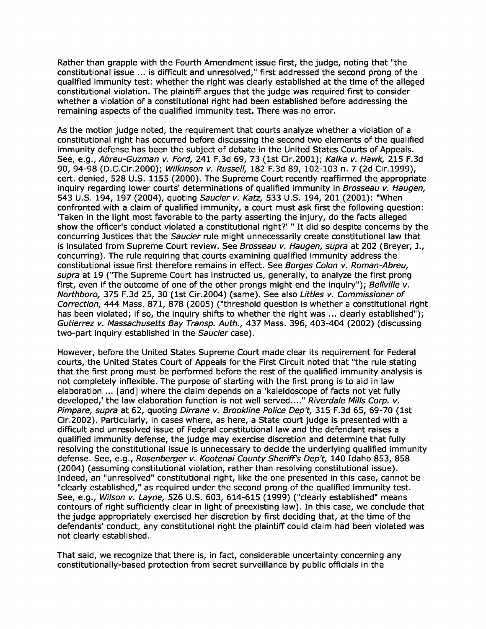Rather than grapple with the Fourth Amendment issue first, the judge, noting that "the constitutional issue ... is difficult and unresolved," first addressed the second prong of the qualified immunity test: whether the right was clearly established at the time of the alleged constitutional violation. The plaintiff argues that the judge was required first to consider whether a violation of a constitutional right had been established before addressing the remaining aspects of the qualified immunity test. There was no error.

As the motion judge noted, the requirement that courts analyze whether a violation of a constitutional right has occurred before discussing the second two elements of the qualified immunity defense has been the subject of debate in the United States Courts of Appeals . See, e.g., Abreu-Guzman v. Ford, 241 F.3d 69, 73 (1st Cir.2001); Kalka v. Hawk, 215 F.3d 90, 94-98 (D.C.Cir.2000) ; Wilkinson v. Russell, 182 F.3d 89, 102-103 n . **7 (2d** Cir.1999), cert. denied, 528 U .S. 1155 (2000) . The Supreme Court recently reaffirmed the appropriate inquiry regarding lower courts' determinations of qualified immunity in Brosseau v. Haugen, 543 U.S. 194, 197 (2004), quoting Saucier v. Katz, 533 U.S. 194, 201 (2001): "When confronted with a claim of qualified immunity, a court must ask first the following question : 'Taken in the light most favorable to the party asserting the injury, do the facts alleged show the officer's conduct violated a constitutional right?' " It did so despite concerns by the concurring Justices that the Saucier rule might unnecessarily create constitutional law that is insulated from Supreme Court review. See Brosseau v. Haugen, supra at 202 (Breyer, J., concurring) . The rule requiring that courts examining qualified immunity address the constitutional issue first therefore remains in effect. See Borges Colon v. Roman-Abreu, supra at 19 ("The Supreme Court has instructed us, generally, to analyze the first prong first, even if the outcome of one of the other prongs might end the inquiry"); Bellville  $v$ . Northboro, 375 F.3d 25, 30 (1st Cir.2004) (same). See also Littles v. Commissioner of Correction, 444 Mass. 871, 878 (2005) ("threshold question is whether a constitutional right has been violated; if so, the inquiry shifts to whether the right was ... clearly established"); Gutierrez v. Massachusetts Bay Transp. Auth., 437 Mass. 396, 403-404 (2002) (discussing two-part inquiry established in the Saucier case).

However, before the United States Supreme Court made clear its requirement for Federal courts, the United States Court of Appeals for the First Circuit noted that "the rule stating that the first prong must be performed before the rest of the qualified immunity analysis is not completely inflexible . The purpose of starting with the first prong is to aid in law elaboration ... [and] where the claim depends on a 'kaleidoscope of facts not yet fully developed,' the law elaboration function is not well served ...." Riverdale Mills Corp. v. Pimpare, supra at 62, quoting Dirrane v. Brookline Police Dep't, 315 F.3d 65, 69-70 (1st Cir.2002) . Particularly, in cases where, as here, a State court judge is presented with a difficult and unresolved issue of Federal constitutional law and the defendant raises a qualified immunity defense, the judge may exercise discretion and determine that fully resolving the constitutional issue is unnecessary to decide the underlying qualified immunity defense. See, e.g., Rosenberger v. Kootenai County Sheriff's Dep't, 140 Idaho 853, 858 (2004) (assuming constitutional violation, rather than resolving constitutional issue) . Indeed, an "unresolved" constitutional right, like the one presented in this case, cannot be "clearly established," as required under the second prong of the qualified immunity test . See, e.g., Wilson v. Layne, 526 U.S. 603, 614-615 (1999) ("clearly established" means contours of right sufficiently clear in light of preexisting law) . In this case, we conclude that the judge appropriately exercised her discretion by first deciding that, at the time of the defendants' conduct, any constitutional right the plaintiff could claim had been violated was not clearly established .

That said, we recognize that there is, in fact, considerable uncertainty concerning any constitutionally-based protection from secret surveillance by public officials in the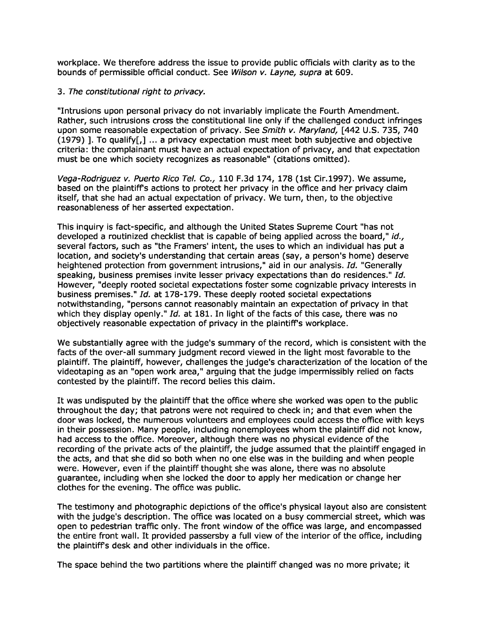workplace. We therefore address the issue to provide public officials with clarity as to the bounds of permissible official conduct. See Wilson v. Layne, supra at 609.

## 3 . The constitutional right to privacy.

"Intrusions upon personal privacy do not invariably implicate the Fourth Amendment. Rather, such intrusions cross the constitutional line only if the challenged conduct infringes upon some reasonable expectation of privacy. See Smith v. Maryland, [442 U.S. 735, 740 (1979) ]. To qualify $[j]$  ... a privacy expectation must meet both subjective and objective criteria : the complainant must have an actual expectation of privacy, and that expectation must be one which society recognizes as reasonable" (citations omitted) .

Vega-Rodriguez v. Puerto Rico Tel. Co., 110 F.3d 174, 178 (1st Cir.1997) . We assume, based on the plaintiffs actions to protect her privacy in the office and her privacy claim itself, that she had an actual expectation of privacy . We turn, then, to the objective reasonableness of her asserted expectation .

This inquiry is fact-specific, and although the United States Supreme Court "has not developed a routinized checklist that is capable of being applied across the board," id., several factors, such as "the Framers' intent, the uses to which an individual has put a location, and society's understanding that certain areas (say, a person's home) deserve heightened protection from government intrusions," aid in our analysis. Id. "Generally speaking, business premises invite lesser privacy expectations than do residences." Id. However, "deeply rooted societal expectations foster some cognizable privacy interests in business premises ." Id. at 178-179. These deeply rooted societal expectations notwithstanding, "persons cannot reasonably maintain an expectation of privacy in that which they display openly." Id. at 181. In light of the facts of this case, there was no objectively reasonable expectation of privacy in the plaintiff's workplace .

We substantially agree with the judge's summary of the record, which is consistent with the facts of the over-all summary judgment record viewed in the light most favorable to the plaintiff. The plaintiff, however, challenges the judge's characterization of the location of the videotaping as an "open work area," arguing that the judge impermissibly relied on facts contested by the plaintiff. The record belies this claim .

It was undisputed by the plaintiff that the office where she worked was open to the public throughout the day; that patrons were not required to check in; and that even when the door was locked, the numerous volunteers and employees could access the office with keys in their possession . Many people, including nonemployees whom the plaintiff did not know, had access to the office. Moreover, although there was no physical evidence of the recording of the private acts of the plaintiff, the judge assumed that the plaintiff engaged in the acts, and that she did so both when no one else was in the building and when people were. However, even if the plaintiff thought she was alone, there was no absolute guarantee, including when she locked the door to apply her medication or change her clothes for the evening. The office was public.

The testimony and photographic depictions of the office's physical layout also are consistent with the judge's description. The office was located on a busy commercial street, which was open to pedestrian traffic only . The front window of the office was large, and encompassed the entire front wall. It provided passersby a full view of the interior of the office, including the plaintiffs desk and other individuals in the office .

The space behind the two partitions where the plaintiff changed was no more private; it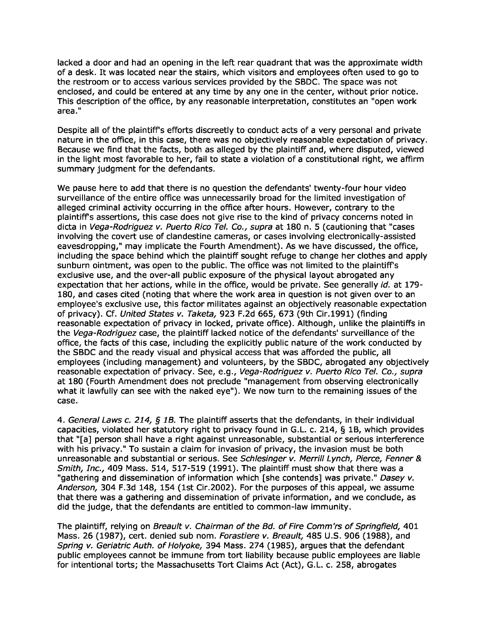lacked a door and had an opening in the left rear quadrant that was the approximate width of a desk. It was located near the stairs, which visitors and employees often used to go to the restroom or to access various services provided by the SBDC. The space was not enclosed, and could be entered at any time by any one in the center, without prior notice . This description of the office, by any reasonable interpretation, constitutes an "open work area."

Despite all of the plaintiff's efforts discreetly to conduct acts of a very personal and private nature in the office, in this case, there was no objectively reasonable expectation of privacy . Because we find that the facts, both as alleged by the plaintiff and, where disputed, viewed in the light most favorable to her, fail to state a violation of a constitutional right, we affirm summary judgment for the defendants.

We pause here to add that there is no question the defendants' twenty-four hour video surveillance of the entire office was unnecessarily broad for the limited investigation of alleged criminal activity occurring in the office after hours. However, contrary to the plaintiffs assertions, this case does not give rise to the kind of privacy concerns noted in dicta in Vega-Rodriguez v. Puerto Rico Tel. Co., supra at 180 n. 5 (cautioning that "cases involving the covert use of clandestine cameras, or cases involving electronically-assisted eavesdropping," may implicate the Fourth Amendment) . As we have discussed, the office, including the space behind which the plaintiff sought refuge to change her clothes and apply sunburn ointment, was open to the public. The office was not limited to the plaintiff's exclusive use, and the over-all public exposure of the physical layout abrogated any expectation that her actions, while in the office, would be private. See generally id. at 179-180, and cases cited (noting that where the work area in question is not given over to an employee's exclusive use, this factor militates against an objectively reasonable expectation of privacy) . Cf. United States v. Taketa, 923 F .2d 665, 673 (9th Cir.1991) (finding reasonable expectation of privacy in locked, private office). Although, unlike the plaintiffs in the Vega-Rodriguez case, the plaintiff lacked notice of the defendants' surveillance of the office, the facts of this case, including the explicitly public nature of the work conducted by the SBDC and the ready visual and physical access that was afforded the public, all employees (including management) and volunteers, by the SBDC, abrogated any objectively reasonable expectation of privacy. See, e.g., Vega-Rodriguez v. Puerto Rico Tel. Co., supra at 180 (Fourth Amendment does not preclude "management from observing electronically what it lawfully can see with the naked eye") . We now turn to the remaining issues of the case.

4. General Laws c. 214,  $\zeta$  1B. The plaintiff asserts that the defendants, in their individual capacities, violated her statutory right to privacy found in G.L. c. 214, § 1B, which provides that "[a] person shall have a right against unreasonable, substantial or serious interference with his privacy ." To sustain a claim for invasion of privacy, the invasion must be both unreasonable and substantial or serious. See Schlesinger v. Merrill Lynch, Pierce, Fenner & Smith, Inc., 409 Mass. 514, 517-519 (1991). The plaintiff must show that there was a "gathering and dissemination of information which [she contends] was private." Dasey v. Anderson, 304 F.3d 148, 154 (1st Cir.2002). For the purposes of this appeal, we assume that there was a gathering and dissemination of private information, and we conclude, as did the judge, that the defendants are entitled to common-law immunity .

The plaintiff, relying on Breault v. Chairman of the Bd. of Fire Comm'rs of Springfield, 401 Mass. 26 (1987), cert. denied sub nom. Forastiere v. Breault, 485 U.S. 906 (1988), and Spring v. Geriatric Auth. of Holyoke, 394 Mass. 274 (1985), argues that the defendant public employees cannot be immune from tort liability because public employees are liable for intentional torts; the Massachusetts Tort Claims Act (Act), G .L. c. 258, abrogates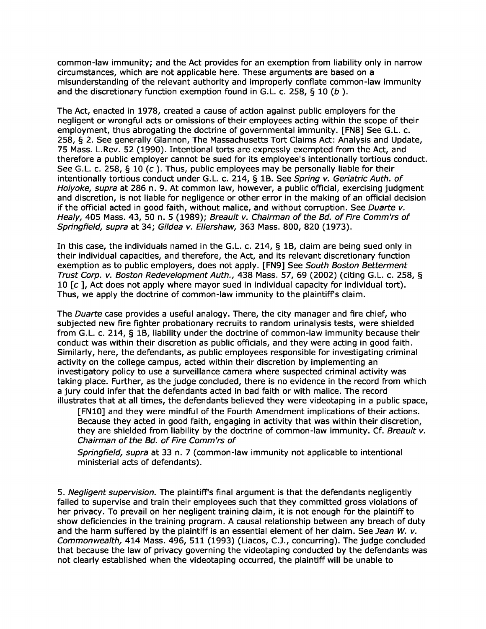common-law immunity; and the Act provides for an exemption from liability only in narrow circumstances, which are not applicable here. These arguments are based on a misunderstanding of the relevant authority and improperly conflate common-law immunity and the discretionary function exemption found in G.L. c. 258,  $\S$  10 (b).

The Act, enacted in 1978, created a cause of action against public employers for the negligent or wrongful acts or omissions of their employees acting within the scope of their employment, thus abrogating the doctrine of governmental immunity. [FN8] See G.L. c. 258, § 2. See generally Glannon, The Massachusetts Tort Claims Act: Analysis and Update, 75 Mass. L.Rev. 52 (1990) . Intentional torts are expressly exempted from the Act, and therefore a public employer cannot be sued for its employee's intentionally tortious conduct . See G.L. c. 258, § 10 (c). Thus, public employees may be personally liable for their intentionally tortious conduct under G.L. c. 214, § 1B. See Spring v. Geriatric Auth. of Holyoke, supra at 286 n. 9. At common law, however, a public official, exercising judgment and discretion, is not liable for negligence or other error in the making of an official decision if the official acted in good faith, without malice, and without corruption. See Duarte v. Healy, 405 Mass. 43, 50 n. 5 (1989); Breault v. Chairman of the Bd. of Fire Comm'rs of Springfield, supra at 34; Gildea v. Ellershaw, 363 Mass. 800, 820 (1973).

In this case, the individuals named in the G.L. c. 214, § 1B, claim are being sued only in their individual capacities, and therefore, the Act, and its relevant discretionary function exemption as to public employers, does not apply. [FN9] See South Boston Betterment Trust Corp. v. Boston Redevelopment Auth., 438 Mass. 57, 69 (2002) (citing G.L. c. 258, § 10 [c ], Act does not apply where mayor sued in individual capacity for individual tort). Thus, we apply the doctrine of common-law immunity to the plaintiffs claim .

The *Duarte* case provides a useful analogy. There, the city manager and fire chief, who subjected new fire fighter probationary recruits to random urinalysis tests, were shielded from G .L. c. 214, § 1B, liability under the doctrine of common-law immunity because their conduct was within their discretion as public officials, and they were acting in good faith . Similarly, here, the defendants, as public employees responsible for investigating criminal activity on the college campus, acted within their discretion by implementing an investigatory policy to use a surveillance camera where suspected criminal activity was taking place. Further, as the judge concluded, there is no evidence in the record from which a jury could infer that the defendants acted in bad faith or with malice . The record illustrates that at all times, the defendants believed they were videotaping in a public space ,

[FN10] and they were mindful of the Fourth Amendment implications of their actions . Because they acted in good faith, engaging in activity that was within their discretion, they are shielded from liability by the doctrine of common-law immunity. Cf. Breault v. Chairman of the Bd. of Fire Comm'rs of

Springfield, supra at 33 n. 7 (common-law immunity not applicable to intentional ministerial acts of defendants) .

5. Negligent supervision. The plaintiff's final argument is that the defendants negligently failed to supervise and train their employees such that they committed gross violations of her privacy. To prevail on her negligent training claim, it is not enough for the plaintiff to show deficiencies in the training program . A causal relationship between any breach of duty and the harm suffered by the plaintiff is an essential element of her claim. See Jean W. v. Commonwealth, 414 Mass. 496, 511 (1993) (Liacos, C.J., concurring). The judge concluded that because the law of privacy governing the videotaping conducted by the defendants was not clearly established when the videotaping occurred, the plaintiff will be unable to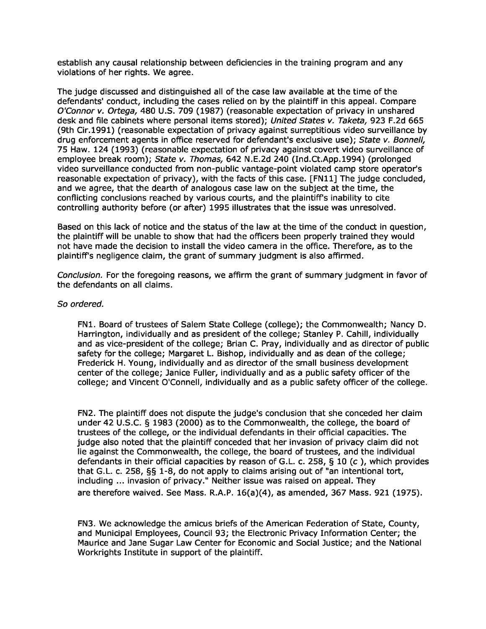establish any causal relationship between deficiencies in the training program and any violations of her rights. We agree.

The judge discussed and distinguished all of the case law available at the time of the defendants' conduct, including the cases relied on by the plaintiff in this appeal . Compare O'Connor v. Ortega, 480 U.S. 709 (1987) (reasonable expectation of privacy in unshared desk and file cabinets where personal items stored); United States v. Taketa, 923 F.2d 665 (9th Cir.1991) (reasonable expectation of privacy against surreptitious video surveillance by drug enforcement agents in office reserved for defendant's exclusive use); State v. Bonnell, 75 Haw . 124 (1993) (reasonable expectation of privacy against covert video surveillance of employee break room); State v. Thomas, 642 N.E.2d 240 (Ind.Ct.App.1994) (prolonged video surveillance conducted from non-public vantage-point violated camp store operator's reasonable expectation of privacy), with the facts of this case . [FN11] The judge concluded, and we agree, that the dearth of analogous case law on the subject at the time, the conflicting conclusions reached by various courts, and the plaintiff's inability to cite controlling authority before (or after) 1995 illustrates that the issue was unresolved .

Based on this lack of notice and the status of the law at the time of the conduct in question, the plaintiff will be unable to show that had the officers been properly trained they would not have made the decision to install the video camera in the office . Therefore, as to the plaintiff's negligence claim, the grant of summary judgment is also affirmed .

Conclusion. For the foregoing reasons, we affirm the grant of summary judgment in favor of the defendants on all claims.

## **So ordered**.

FN1. Board of trustees of Salem State College (college); the Commonwealth; Nancy D. Harrington, individually and as president of the college; Stanley P. Cahill, individually and as vice-president of the college; Brian C. Pray, individually and as director of public safety for the college; Margaret L. Bishop, individually and as dean of the college; Frederick H. Young, individually and as director of the small business development center of the college; Janice Fuller, individually and as a public safety officer of the college; and Vincent O'Connell, individually and as a public safety officer of the college .

FN2 . The plaintiff does not dispute the judge's conclusion that she conceded her claim under 42 U.S.C. § 1983 (2000) as to the Commonwealth, the college, the board of trustees of the college, or the individual defendants in their official capacities . The judge also noted that the plaintiff conceded that her invasion of privacy claim did not lie against the Commonwealth, the college, the board of trustees, and the individual defendants in their official capacities by reason of G.L. c. 258,  $\frac{5}{10}$  (c), which provides that G.L. c. 258, §§ 1-8, do not apply to claims arising out of "an intentional tort, including ... invasion of privacy." Neither issue was raised on appeal. They are therefore waived. See Mass. R.A.P.  $16(a)(4)$ , as amended, 367 Mass. 921 (1975).

FN3 . We acknowledge the amicus briefs of the American Federation of State, County, and Municipal Employees, Council 93; the Electronic Privacy Information Center; the Maurice and Jane Sugar Law Center for Economic and Social Justice ; and the National Workrights Institute in support of the plaintiff.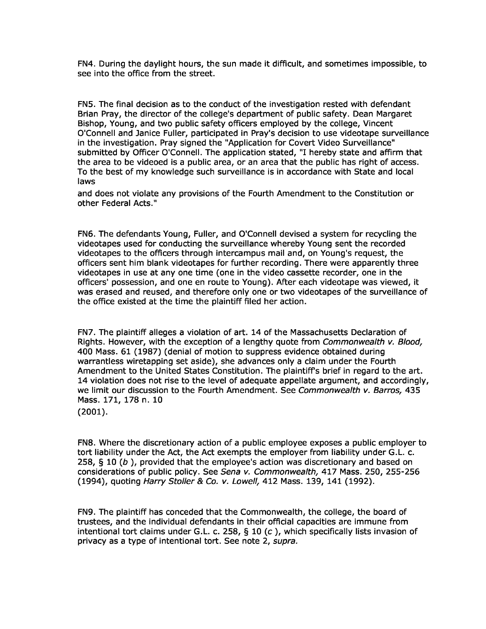FN4 . During the daylight hours, the sun made it difficult, and sometimes impossible, to see into the office from the street.

**FN5 .** The final decision as to the conduct of the investigation rested with defendant Brian Pray, the director of the college's department of public safety . Dean Margaret Bishop, Young, and two public safety officers employed by the college, Vincent O'Connell and Janice Fuller, participated in Pray's decision to use videotape surveillance in the investigation. Pray signed the "Application for Covert Video Surveillance" submitted by Officer O'Connell. The application stated, "I hereby state and affirm that the area to be videoed is a public area, or an area that the public has right of access . To the best of my knowledge such surveillance is in accordance with State and local laws

and does not violate any provisions of the Fourth Amendment to the Constitution or other Federal Acts."

FN6 . The defendants Young, Fuller, and O'Connell devised a system for recycling the videotapes used for conducting the surveillance whereby Young sent the recorded videotapes to the officers through intercampus mail and, on Young's request, the officers sent him blank videotapes for further recording . There were apparently three videotapes in use at any one time (one in the video cassette recorder, one in the officers' possession, and one en route to Young) . After each videotape was viewed, it was erased and reused, and therefore only one or two videotapes of the surveillance of the office existed at the time the plaintiff filed her action.

FN7 . The plaintiff alleges a violation of art . 14 of the Massachusetts Declaration of Rights. However, with the exception of a lengthy quote from Commonwealth v. Blood, 400 Mass . 61 (1987) (denial of motion to suppress evidence obtained during warrantless wiretapping set aside), she advances only a claim under the Fourth Amendment to the United States Constitution. The plaintiff's brief in regard to the art. 14 violation does not rise to the level of adequate appellate argument, and accordingly, we limit our discussion to the Fourth Amendment. See Commonwealth v. Barros, 435 Mass. 171, 178 n. 10

FN8 . Where the discretionary action of a public employee exposes a public employer to tort liability under the Act, the Act exempts the employer from liability under G .L. c. 258, § 10 (b ), provided that the employee's action was discretionary and based on considerations of public policy. See Sena v. Commonwealth, 417 Mass. 250, 255-256 (1994), quoting Harry Stoller & Co. v. Lowell, 412 Mass. 139, 141 (1992).

FN9 . The plaintiff has conceded that the Commonwealth, the college, the board of trustees, and the individual defendants in their official capacities are immune from intentional tort claims under G.L. c. 258,  $\S$  10 (c), which specifically lists invasion of privacy as a type of intentional tort. See note 2, supra.

 $(2001).$